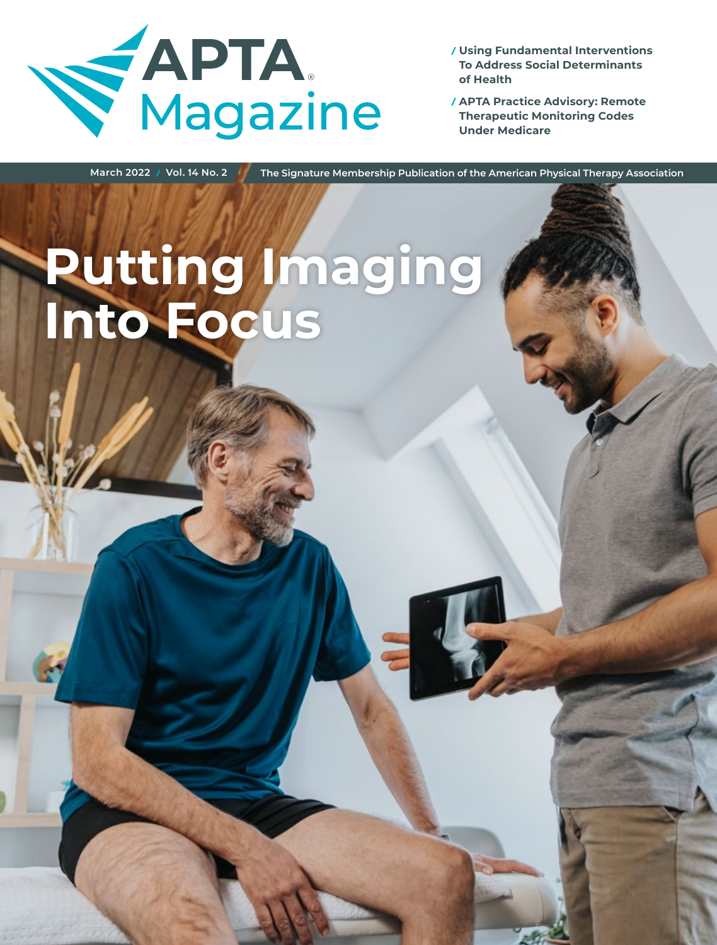

**Using Fundamental Interventions To Address Social Determinants of Health**

**APTA Practice Advisory: Remote Therapeutic Monitoring Codes Under Medicare**

**March 2022 Vol. 14 No. 2 The Signature Membership Publication of the American Physical Therapy Association**

**Putting Imaging Into Focus**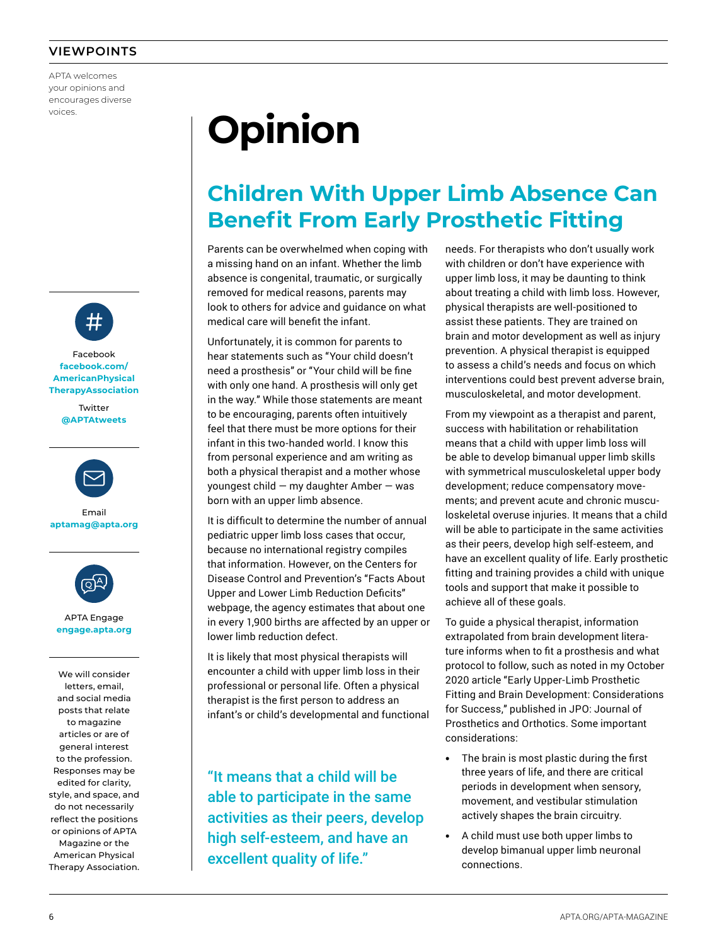#### **VIEWPOINTS**

APTA welcomes your opinions and encourages diverse voices.



Facebook **facebook.com/ AmericanPhysical TherapyAssociation**

> **Twitter @APTAtweets**



Email **aptamag@apta.org**



APTA Engage **engage.apta.org**

We will consider letters, email, and social media posts that relate to magazine articles or are of general interest to the profession. Responses may be edited for clarity, style, and space, and do not necessarily reflect the positions or opinions of APTA Magazine or the American Physical Therapy Association.

# **Opinion**

## **Children With Upper Limb Absence Can Benefit From Early Prosthetic Fitting**

Parents can be overwhelmed when coping with a missing hand on an infant. Whether the limb absence is congenital, traumatic, or surgically removed for medical reasons, parents may look to others for advice and guidance on what medical care will benefit the infant.

Unfortunately, it is common for parents to hear statements such as "Your child doesn't need a prosthesis" or "Your child will be fine with only one hand. A prosthesis will only get in the way." While those statements are meant to be encouraging, parents often intuitively feel that there must be more options for their infant in this two-handed world. I know this from personal experience and am writing as both a physical therapist and a mother whose youngest child — my daughter Amber — was born with an upper limb absence.

It is difficult to determine the number of annual pediatric upper limb loss cases that occur, because no international registry compiles that information. However, on the Centers for Disease Control and Prevention's "Facts About Upper and Lower Limb Reduction Deficits" webpage, the agency estimates that about one in every 1,900 births are affected by an upper or lower limb reduction defect.

It is likely that most physical therapists will encounter a child with upper limb loss in their professional or personal life. Often a physical therapist is the first person to address an infant's or child's developmental and functional

"It means that a child will be able to participate in the same activities as their peers, develop high self-esteem, and have an excellent quality of life."

needs. For therapists who don't usually work with children or don't have experience with upper limb loss, it may be daunting to think about treating a child with limb loss. However, physical therapists are well-positioned to assist these patients. They are trained on brain and motor development as well as injury prevention. A physical therapist is equipped to assess a child's needs and focus on which interventions could best prevent adverse brain, musculoskeletal, and motor development.

From my viewpoint as a therapist and parent, success with habilitation or rehabilitation means that a child with upper limb loss will be able to develop bimanual upper limb skills with symmetrical musculoskeletal upper body development; reduce compensatory movements; and prevent acute and chronic musculoskeletal overuse injuries. It means that a child will be able to participate in the same activities as their peers, develop high self-esteem, and have an excellent quality of life. Early prosthetic fitting and training provides a child with unique tools and support that make it possible to achieve all of these goals.

To guide a physical therapist, information extrapolated from brain development literature informs when to fit a prosthesis and what protocol to follow, such as noted in my October 2020 article "Early Upper-Limb Prosthetic Fitting and Brain Development: Considerations for Success," published in JPO: Journal of Prosthetics and Orthotics. Some important considerations:

- **•** The brain is most plastic during the first three years of life, and there are critical periods in development when sensory, movement, and vestibular stimulation actively shapes the brain circuitry.
- **•** A child must use both upper limbs to develop bimanual upper limb neuronal connections.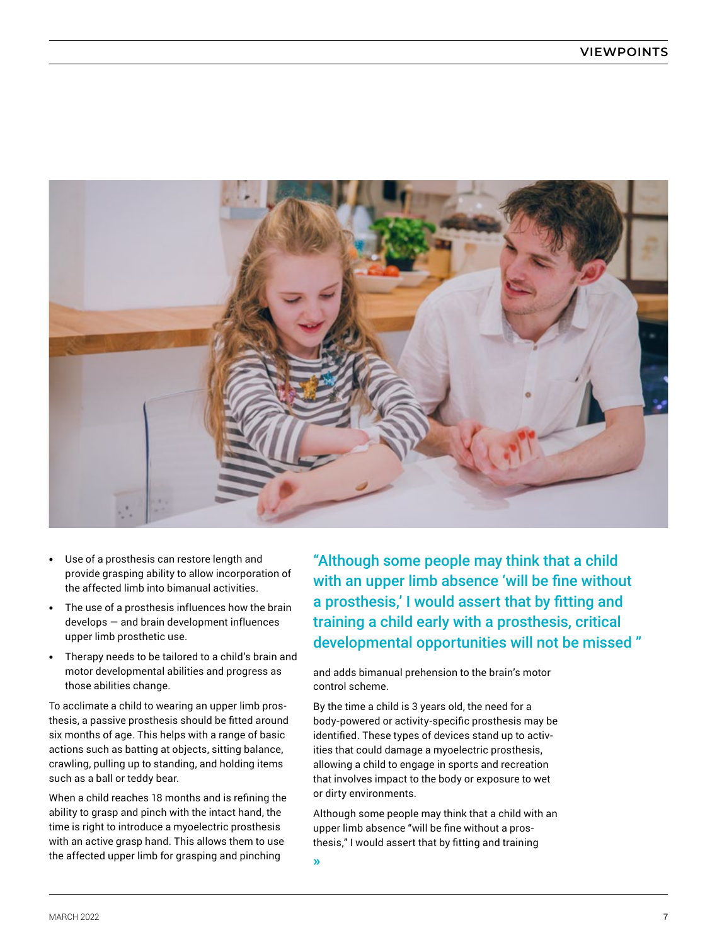

- **•** Use of a prosthesis can restore length and provide grasping ability to allow incorporation of the affected limb into bimanual activities.
- **•** The use of a prosthesis influences how the brain develops — and brain development influences upper limb prosthetic use.
- **•** Therapy needs to be tailored to a child's brain and motor developmental abilities and progress as those abilities change.

To acclimate a child to wearing an upper limb prosthesis, a passive prosthesis should be fitted around six months of age. This helps with a range of basic actions such as batting at objects, sitting balance, crawling, pulling up to standing, and holding items such as a ball or teddy bear.

When a child reaches 18 months and is refining the ability to grasp and pinch with the intact hand, the time is right to introduce a myoelectric prosthesis with an active grasp hand. This allows them to use the affected upper limb for grasping and pinching

"Although some people may think that a child with an upper limb absence 'will be fine without a prosthesis,' I would assert that by fitting and training a child early with a prosthesis, critical developmental opportunities will not be missed "

and adds bimanual prehension to the brain's motor control scheme.

By the time a child is 3 years old, the need for a body-powered or activity-specific prosthesis may be identified. These types of devices stand up to activities that could damage a myoelectric prosthesis, allowing a child to engage in sports and recreation that involves impact to the body or exposure to wet or dirty environments.

Although some people may think that a child with an upper limb absence "will be fine without a prosthesis," I would assert that by fitting and training

**»**